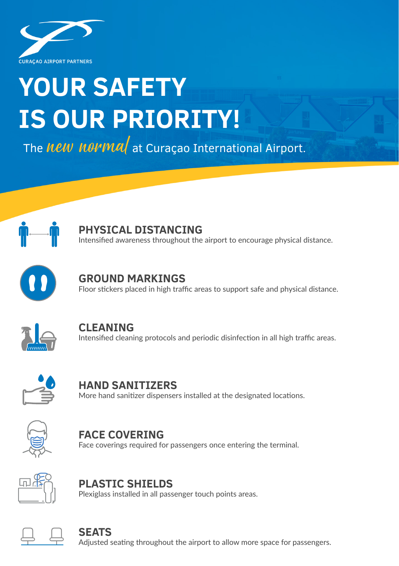

# **YOUR SAFETY IS OUR PRIORITY!**

The **New Norma** at Curaçao International Airport.



## **PHYSICAL DISTANCING**

Intensified awareness throughout the airport to encourage physical distance.



#### **GROUND MARKINGS** Floor stickers placed in high traffic areas to support safe and physical distance.



**CLEANING** Intensified cleaning protocols and periodic disinfection in all high traffic areas.



**HAND SANITIZERS** More hand sanitizer dispensers installed at the designated locations.



**FACE COVERING** Face coverings required for passengers once entering the terminal.



**PLASTIC SHIELDS** Plexiglass installed in all passenger touch points areas.



#### **SEATS**

Adjusted seating throughout the airport to allow more space for passengers.